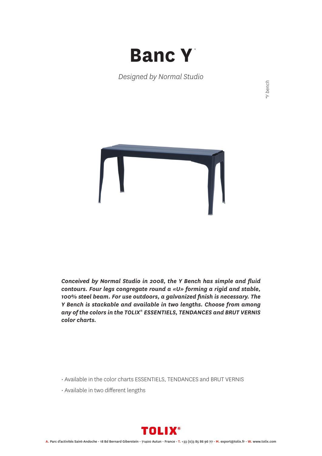

*Designed by Normal Studio*



*Conceived by Normal Studio in 2008, the Y Bench has simple and fluid contours. Four legs congregate round a «U» forming a rigid and stable, 100% steel beam. For use outdoors, a galvanized finish is necessary. The Y Bench is stackable and available in two lengths. Choose from among any of the colors in the TOLIX® ESSENTIELS, TENDANCES and BRUT VERNIS color charts.*

- Available in the color charts ESSENTIELS, TENDANCES and BRUT VERNIS
- Available in two different lengths